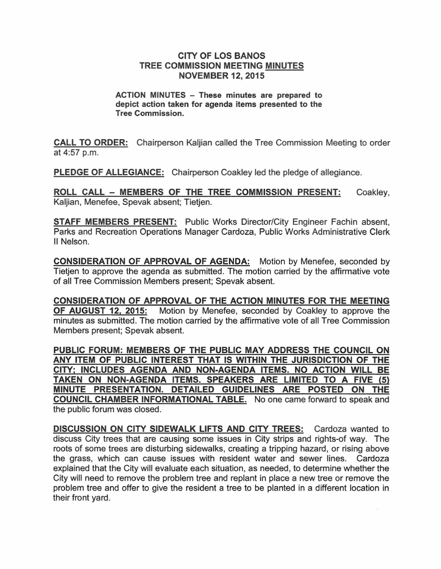### CITY OF LOS BANOS TREE COMMISSION MEETING MINUTES NOVEMBER 12, 2015

#### ACTION MINUTES - These minutes are prepared to depict action taken for agenda items presented to the Tree Commission.

CALL TO ORDER: Chairperson Kaljian called the Tree Commission Meeting to order at 4:57 p.m.

PLEDGE OF ALLEGIANCE: Chairperson Coakley led the pledge of allegiance.

ROLL CALL - MEMBERS OF THE TREE COMMISSION PRESENT: Kaljian, Menefee, Spevak absent; Tietjen. Coakley,

STAFF MEMBERS PRESENT: Public Works Director/City Engineer Fachin absent, Parks and Recreation Operations Manager Cardoza, Public Works Administrative Clerk II Nelson.

CONSIDERATION OF APPROVAL OF AGENDA: Motion by Menefee, seconded by Tietjen to approve the agenda as submitted. The motion carried by the affirmative vote of all Tree Commission Members present; Spevak absent.

CONSIDERATION OF APPROVAL OF THE ACTION MINUTES FOR THE MEETING OF AUGUST 12, 2015: Motion by Menefee, seconded by Coakley to approve the minutes as submitted. The motion carried by the affirmative vote of all Tree Commission Members present; Spevak absent.

PUBLIC FORUM: MEMBERS OF THE PUBLIC MAY ADDRESS THE COUNCIL ON ANY ITEM OF PUBLIC INTEREST THAT IS WITHIN THE JURISDICTION OF THE CITY; INCLUDES AGENDA AND NON-AGENDA ITEMS. NO ACTION WILL BE TAKEN ON NON-AGENDA ITEMS. SPEAKERS ARE LIMITED TO A FIVE (5) MINUTE PRESENTATION. DETAILED GUIDELINES ARE POSTED ON THE COUNCIL CHAMBER INFORMATIONAL TABLE. No one came forward to speak and the public forum was closed.

DISCUSSION ON CITY SIDEWALK LIFTS AND CITY TREES: Cardoza wanted to discuss City trees that are causing some issues in City strips and rights-of way. The roots of some trees are disturbing sidewalks, creating a tripping hazard, or rising above the grass, which can cause issues with resident water and sewer lines. Cardoza explained that the City will evaluate each situation, as needed, to determine whether the City will need to remove the problem tree and replant in place a new tree or remove the problem tree and offer to give the resident a tree to be planted in a different location in their front yard.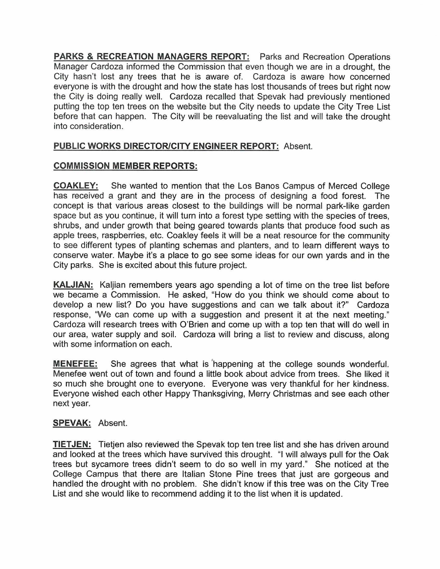**PARKS & RECREATION MANAGERS REPORT:** Parks and Recreation Operations Manager Cardoza informed the Commission that even though we are in a drought, the City hasn't lost any trees that he is aware of. Cardoza is aware how concerned everyone is with the drought and how the state has lost thousands of trees but right now the City is doing really well. Cardoza recalled that Spevak had previously mentioned putting the top ten trees on the website but the City needs to update the City Tree List before that can happen. **The** City will be reevaluating the list and will take the drought into consideration.

# **PUBLIC WORKS DIRECTOR/CITY ENGINEER REPORT:** Absent.

## **COMMISSION MEMBER REPORTS:**

**COAKLEY:** She wanted to mention that the Los Banos Campus of Merced College has received a grant and they are in the process of designing a food forest. **The** concept is that various areas closest to the buildings will be normal park-like garden space but as you continue, it will turn into a forest type setting with the species of trees, shrubs, and under growth that being geared towards plants that produce food such as apple trees, raspberries, etc. Coakley feels it will be a neat resource for the community to see different types of planting schemas and planters, and to learn different ways to conserve water. Maybe it's a place to go see some ideas for our own yards and in the City parks. She is excited about this future project.

**KALJIAN:** Kaljian remembers years ago spending a lot of time on the tree list before we became a Commission. He asked, "How do you think we should come about to develop a new list? Do you have suggestions and can we talk about it?" Cardoza response, "We can come up with a suggestion and present it at the next meeting." Cardoza will research trees with O'Brien and come up with a top ten that will do well in our area, water supply and soil. Cardoza will bring a list to review and discuss, along with some information on each.

**MENEFEE:** She agrees that what is 'happening at the college sounds wonderful. Menefee went out of town and found a little book about advice from trees. She liked it so much she brought one to everyone. Everyone was very thankful for her kindness. Everyone wished each other Happy Thanksgiving, Merry Christmas and see each other next year.

## **SPEVAK:** Absent.

**TIETJEN:** Tietjen also reviewed the Spevak top ten tree list and she has driven around and looked at the trees which have survived this drought. "I will always pull for the Oak trees but sycamore trees didn't seem to do so well in my yard." She noticed at the College Campus that there are Italian Stone Pine trees that just are gorgeous and handled the drought with no problem. She didn't know if this tree was on the City Tree List and she would like to recommend adding it to the list when it is updated.